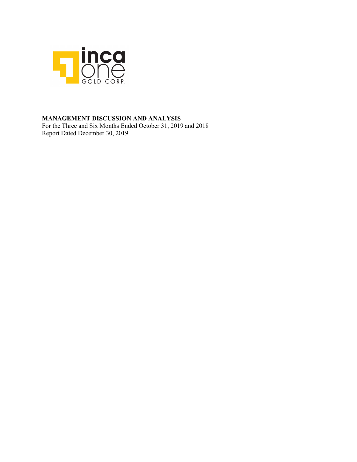

# **MANAGEMENT DISCUSSION AND ANALYSIS**

For the Three and Six Months Ended October 31, 2019 and 2018 Report Dated December 30, 2019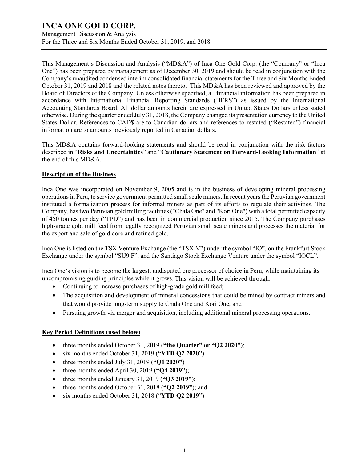Management Discussion & Analysis For the Three and Six Months Ended October 31, 2019, and 2018

This Management's Discussion and Analysis ("MD&A") of Inca One Gold Corp. (the "Company" or "Inca One") has been prepared by management as of December 30, 2019 and should be read in conjunction with the Company's unaudited condensed interim consolidated financial statements for the Three and Six Months Ended October 31, 2019 and 2018 and the related notes thereto. This MD&A has been reviewed and approved by the Board of Directors of the Company. Unless otherwise specified, all financial information has been prepared in accordance with International Financial Reporting Standards ("IFRS") as issued by the International Accounting Standards Board. All dollar amounts herein are expressed in United States Dollars unless stated otherwise. During the quarter ended July 31, 2018, the Company changed its presentation currency to the United States Dollar. References to CAD\$ are to Canadian dollars and references to restated ("Restated") financial information are to amounts previously reported in Canadian dollars.

This MD&A contains forward-looking statements and should be read in conjunction with the risk factors described in "**Risks and Uncertainties**" and "**Cautionary Statement on Forward-Looking Information**" at the end of this MD&A.

# **Description of the Business**

Inca One was incorporated on November 9, 2005 and is in the business of developing mineral processing operations in Peru, to service government permitted small scale miners. In recent years the Peruvian government instituted a formalization process for informal miners as part of its efforts to regulate their activities. The Company, has two Peruvian gold milling facilities ("Chala One" and "Kori One") with a total permitted capacity of 450 tonnes per day ("TPD") and has been in commercial production since 2015. The Company purchases high-grade gold mill feed from legally recognized Peruvian small scale miners and processes the material for the export and sale of gold doré and refined gold.

Inca One is listed on the TSX Venture Exchange (the "TSX-V") under the symbol "IO", on the Frankfurt Stock Exchange under the symbol "SU9.F", and the Santiago Stock Exchange Venture under the symbol "IOCL".

Inca One's vision is to become the largest, undisputed ore processor of choice in Peru, while maintaining its uncompromising guiding principles while it grows. This vision will be achieved through:

- Continuing to increase purchases of high-grade gold mill feed;
- The acquisition and development of mineral concessions that could be mined by contract miners and that would provide long-term supply to Chala One and Kori One; and
- Pursuing growth via merger and acquisition, including additional mineral processing operations.

# **Key Period Definitions (used below)**

- three months ended October 31, 2019 (**"the Quarter" or "Q2 2020"**);
- six months ended October 31, 2019 (**"YTD Q2 2020"**)
- three months ended July 31, 2019 (**"Q1 2020"**)
- three months ended April 30, 2019 (**"Q4 2019"**);
- three months ended January 31, 2019 (**"Q3 2019"**);
- three months ended October 31, 2018 (**"Q2 2019"**); and
- six months ended October 31, 2018 (**"YTD Q2 2019"**)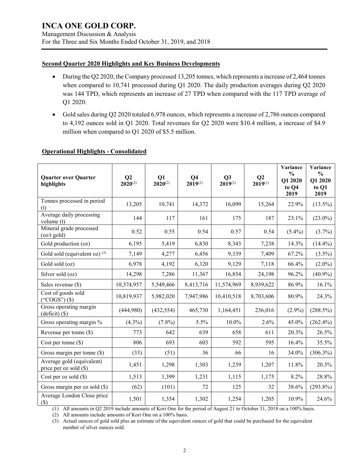Management Discussion & Analysis For the Three and Six Months Ended October 31, 2019, and 2018

# **Second Quarter 2020 Highlights and Key Business Developments**

- During the Q2 2020, the Company processed 13,205 tonnes, which represents a increase of 2,464 tonnes when compared to 10,741 processed during Q1 2020. The daily production averages during Q2 2020 was 144 TPD, which represents an increase of 27 TPD when compared with the 117 TPD average of Q1 2020.
- Gold sales during Q2 2020 totaled 6,978 ounces, which represents a increase of 2,786 ounces compared to 4,192 ounces sold in Q1 2020. Total revenues for Q2 2020 were \$10.4 million, a increase of \$4.9 million when compared to Q1 2020 of \$5.5 million.

# **Operational Highlights - Consolidated**

| <b>Quarter over Quarter</b><br>highlights           | Q <sub>2</sub><br>$2020^{(2)}$ | $\mathbf{O}1$<br>$2020^{(2)}$ | Q <sub>4</sub><br>$2019^{(2)}$ | Q3<br>$2019^{(2)}$ | Q <sub>2</sub><br>$2019^{(1)}$ | Variance<br>$\frac{0}{0}$<br>Q1 2020<br>to Q4<br>2019 | Variance<br>$\frac{0}{0}$<br>Q1 2020<br>to Q1<br>2019 |
|-----------------------------------------------------|--------------------------------|-------------------------------|--------------------------------|--------------------|--------------------------------|-------------------------------------------------------|-------------------------------------------------------|
| Tonnes processed in period<br>(t)                   | 13,205                         | 10,741                        | 14,372                         | 16,099             | 15,264                         | 22.9%                                                 | $(13.5\%)$                                            |
| Average daily processing<br>volume (t)              | 144                            | 117                           | 161                            | 175                | 187                            | 23.1%                                                 | $(23.0\%)$                                            |
| Mineral grade processed<br>$(oz/t \text{ gold})$    | 0.52                           | 0.55                          | 0.54                           | 0.57               | 0.54                           | $(5.4\%)$                                             | $(3.7\%)$                                             |
| Gold production (oz)                                | 6,195                          | 5,419                         | 6,830                          | 8,343              | 7,238                          | 14.3%                                                 | $(14.4\%)$                                            |
| Gold sold (equivalent oz) $(3)$                     | 7,149                          | 4,277                         | 6,456                          | 9,339              | 7,409                          | 67.2%                                                 | $(3.5\%)$                                             |
| Gold sold (oz)                                      | 6,978                          | 4,192                         | 6,320                          | 9,129              | 7,118                          | 66.4%                                                 | $(2.0\%)$                                             |
| Silver sold (oz)                                    | 14,298                         | 7,286                         | 11,367                         | 16,854             | 24,198                         | 96.2%                                                 | $(40.9\%)$                                            |
| Sales revenue (\$)                                  | 10,374,957                     | 5,549,466                     | 8,413,716                      | 11,574,969         | 8,939,622                      | 86.9%                                                 | 16.1%                                                 |
| Cost of goods sold<br>("COGS") $(\$)$               | 10,819,937                     | 5,982,020                     | 7,947,986                      | 10,410,518         | 8,703,606                      | 80.9%                                                 | 24.3%                                                 |
| Gross operating margin<br>$(deficit)$ $(\$)$        | (444,980)                      | (432, 554)                    | 465,730                        | 1,164,451          | 236,016                        | $(2.9\%)$                                             | (288.5%)                                              |
| Gross operating margin %                            | $(4.3\%)$                      | $(7.8\%)$                     | 5.5%                           | 10.0%              | 2.6%                           | 45.0%                                                 | $(262.4\%)$                                           |
| Revenue per tonne $(\$)$                            | 773                            | 642                           | 639                            | 658                | 611                            | 20.3%                                                 | 26.5%                                                 |
| Cost per tonne $(\$)$                               | 806                            | 693                           | 603                            | 592                | 595                            | 16.4%                                                 | 35.5%                                                 |
| Gross margin per tonne $(\$)$                       | (33)                           | (51)                          | 36                             | 66                 | 16                             | 34.0%                                                 | $(306.3\%)$                                           |
| Average gold (equivalent)<br>price per oz sold (\$) | 1,451                          | 1,298                         | 1,303                          | 1,239              | 1,207                          | 11.8%                                                 | 20.3%                                                 |
| Cost per oz sold $(\$)$                             | 1,513                          | 1,399                         | 1,231                          | 1,115              | 1,175                          | 8.2%                                                  | 28.8%                                                 |
| Gross margin per oz sold $(\$)$                     | (62)                           | (101)                         | 72                             | 125                | 32                             | 38.6%                                                 | $(293.8\%)$                                           |
| Average London Close price<br>$($)$                 | 1,501                          | 1,354                         | 1,302                          | 1,254              | 1,205                          | 10.9%                                                 | 24.6%                                                 |

(1) All amounts in Q2 2019 include amounts of Kori One for the period of August 21 to October 31, 2018 on a 100% basis.

(2) All amounts include amounts of Kori One on a 100% basis.

(3) Actual ounces of gold sold plus an estimate of the equivalent ounces of gold that could be purchased for the equivalent number of silver ounces sold.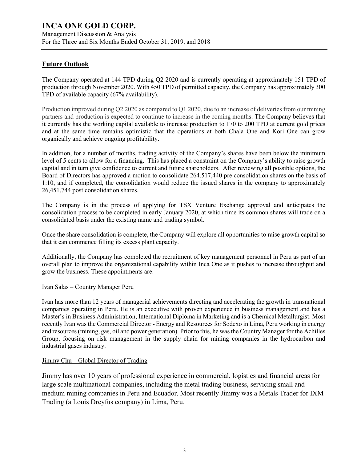Management Discussion & Analysis For the Three and Six Months Ended October 31, 2019, and 2018

# **Future Outlook**

The Company operated at 144 TPD during Q2 2020 and is currently operating at approximately 151 TPD of production through November 2020. With 450 TPD of permitted capacity, the Company has approximately 300 TPD of available capacity (67% availability).

Production improved during Q2 2020 as compared to Q1 2020, due to an increase of deliveries from our mining partners and production is expected to continue to increase in the coming months. The Company believes that it currently has the working capital available to increase production to 170 to 200 TPD at current gold prices and at the same time remains optimistic that the operations at both Chala One and Kori One can grow organically and achieve ongoing profitability.

In addition, for a number of months, trading activity of the Company's shares have been below the minimum level of 5 cents to allow for a financing. This has placed a constraint on the Company's ability to raise growth capital and in turn give confidence to current and future shareholders. After reviewing all possible options, the Board of Directors has approved a motion to consolidate 264,517,440 pre consolidation shares on the basis of 1:10, and if completed, the consolidation would reduce the issued shares in the company to approximately 26,451,744 post consolidation shares.

The Company is in the process of applying for TSX Venture Exchange approval and anticipates the consolidation process to be completed in early January 2020, at which time its common shares will trade on a consolidated basis under the existing name and trading symbol.

Once the share consolidation is complete, the Company will explore all opportunities to raise growth capital so that it can commence filling its excess plant capacity.

Additionally, the Company has completed the recruitment of key management personnel in Peru as part of an overall plan to improve the organizational capability within Inca One as it pushes to increase throughput and grow the business. These appointments are:

# Ivan Salas – Country Manager Peru

Ivan has more than 12 years of managerial achievements directing and accelerating the growth in transnational companies operating in Peru. He is an executive with proven experience in business management and has a Master's in Business Administration, International Diploma in Marketing and is a Chemical Metallurgist. Most recently Ivan was the Commercial Director - Energy and Resources for Sodexo in Lima, Peru working in energy and resources (mining, gas, oil and power generation). Prior to this, he was the Country Manager for the Achilles Group, focusing on risk management in the supply chain for mining companies in the hydrocarbon and industrial gases industry.

# Jimmy Chu – Global Director of Trading

Jimmy has over 10 years of professional experience in commercial, logistics and financial areas for large scale multinational companies, including the metal trading business, servicing small and medium mining companies in Peru and Ecuador. Most recently Jimmy was a Metals Trader for IXM Trading (a Louis Dreyfus company) in Lima, Peru.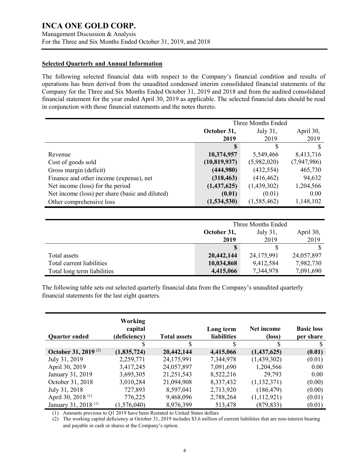# **Selected Quarterly and Annual Information**

The following selected financial data with respect to the Company's financial condition and results of operations has been derived from the unaudited condensed interim consolidated financial statements of the Company for the Three and Six Months Ended October 31, 2019 and 2018 and from the audited consolidated financial statement for the year ended April 30, 2019 as applicable. The selected financial data should be read in conjunction with those financial statements and the notes thereto.

|                                                 | Three Months Ended |             |             |  |
|-------------------------------------------------|--------------------|-------------|-------------|--|
|                                                 | October 31,        | July 31,    | April 30,   |  |
|                                                 | 2019               | 2019        | 2019        |  |
|                                                 |                    |             | \$.         |  |
| Revenue                                         | 10,374,957         | 5,549,466   | 8,413,716   |  |
| Cost of goods sold                              | (10, 819, 937)     | (5,982,020) | (7,947,986) |  |
| Gross margin (deficit)                          | (444,980)          | (432, 554)  | 465,730     |  |
| Finance and other income (expense), net         | (318, 463)         | (416, 462)  | 94,632      |  |
| Net income (loss) for the period                | (1,437,625)        | (1,439,302) | 1,204,566   |  |
| Net income (loss) per share (basic and diluted) | (0.01)             | (0.01)      | 0.00        |  |
| Other comprehensive loss                        | (1,534,530)        | (1,585,462) | 1,148,102   |  |

|                             | Three Months Ended                   |            |            |  |
|-----------------------------|--------------------------------------|------------|------------|--|
|                             | April 30,<br>October 31,<br>July 31, |            |            |  |
|                             | 2019                                 | 2019       | 2019       |  |
|                             |                                      |            |            |  |
| Total assets                | 20,442,144                           | 24,175,991 | 24,057,897 |  |
| Total current liabilities   | 10,034,868                           | 9,412,584  | 7,982,730  |  |
| Total long term liabilities | 4,415,066                            | 7,344,978  | 7,091,690  |  |

The following table sets out selected quarterly financial data from the Company's unaudited quarterly financial statements for the last eight quarters.

| <b>Quarter ended</b>            | <b>Working</b><br>capital<br>(deficiency) | <b>Total assets</b> | Long term<br>liabilities | Net income<br>(loss) | <b>Basic loss</b><br>per share |
|---------------------------------|-------------------------------------------|---------------------|--------------------------|----------------------|--------------------------------|
|                                 |                                           | S                   | \$                       | S                    | S                              |
| October 31, 2019 <sup>(2)</sup> | (1,835,724)                               | 20,442,144          | 4,415,066                | (1,437,625)          | (0.01)                         |
| July 31, 2019                   | 2,259,771                                 | 24,175,991          | 7,344,978                | (1,439,302)          | (0.01)                         |
| April 30, 2019                  | 3,417,245                                 | 24,057,897          | 7,091,690                | 1,204,566            | 0.00                           |
| January 31, 2019                | 3,695,305                                 | 21,251,543          | 8,522,216                | 29,793               | 0.00                           |
| October 31, 2018                | 3,010,284                                 | 21,094,908          | 8,337,432                | (1,132,371)          | (0.00)                         |
| July 31, 2018                   | 727,893                                   | 8,597,041           | 2,713,920                | (186, 479)           | (0.00)                         |
| April 30, 2018 <sup>(1)</sup>   | 776,225                                   | 9,468,096           | 2,788,264                | (1,112,921)          | (0.01)                         |
| January 31, 2018 <sup>(1)</sup> | (1,576,040)                               | 8,976,399           | 513,478                  | (879, 833)           | (0.01)                         |

(1) Amounts previous to Q1 2019 have been Restated to United States dollars

(2) The working capital deficiency at October 31, 2019 includes \$3.6 million of current liabilities that are non-interest bearing and payable in cash or shares at the Company's option.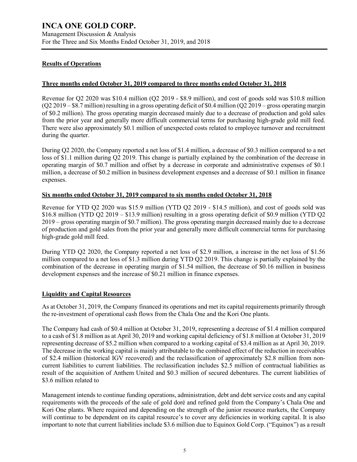# **Results of Operations**

#### **Three months ended October 31, 2019 compared to three months ended October 31, 2018**

Revenue for Q2 2020 was \$10.4 million (Q2 2019 - \$8.9 million), and cost of goods sold was \$10.8 million (Q2 2019 – \$8.7 million) resulting in a gross operating deficit of \$0.4 million (Q2 2019 – gross operating margin of \$0.2 million). The gross operating margin decreased mainly due to a decrease of production and gold sales from the prior year and generally more difficult commercial terms for purchasing high-grade gold mill feed. There were also approximately \$0.1 million of unexpected costs related to employee turnover and recruitment during the quarter.

During Q2 2020, the Company reported a net loss of \$1.4 million, a decrease of \$0.3 million compared to a net loss of \$1.1 million during Q2 2019. This change is partially explained by the combination of the decrease in operating margin of \$0.7 million and offset by a decrease in corporate and administrative expenses of \$0.1 million, a decrease of \$0.2 million in business development expenses and a decrease of \$0.1 million in finance expenses.

#### **Six months ended October 31, 2019 compared to six months ended October 31, 2018**

Revenue for YTD Q2 2020 was \$15.9 million (YTD Q2 2019 - \$14.5 million), and cost of goods sold was \$16.8 million (YTD Q2 2019 – \$13.9 million) resulting in a gross operating deficit of \$0.9 million (YTD Q2 2019 – gross operating margin of \$0.7 million). The gross operating margin decreased mainly due to a decrease of production and gold sales from the prior year and generally more difficult commercial terms for purchasing high-grade gold mill feed.

During YTD Q2 2020, the Company reported a net loss of \$2.9 million, a increase in the net loss of \$1.56 million compared to a net loss of \$1.3 million during YTD Q2 2019. This change is partially explained by the combination of the decrease in operating margin of \$1.54 million, the decrease of \$0.16 million in business development expenses and the increase of \$0.21 million in finance expenses.

## **Liquidity and Capital Resources**

As at October 31, 2019, the Company financed its operations and met its capital requirements primarily through the re-investment of operational cash flows from the Chala One and the Kori One plants.

The Company had cash of \$0.4 million at October 31, 2019, representing a decrease of \$1.4 million compared to a cash of \$1.8 million as at April 30, 2019 and working capital deficiency of \$1.8 million at October 31, 2019 representing decrease of \$5.2 million when compared to a working capital of \$3.4 million as at April 30, 2019. The decrease in the working capital is mainly attributable to the combined effect of the reduction in receivables of \$2.4 million (historical IGV recovered) and the reclassification of approximately \$2.8 million from noncurrent liabilities to current liabilities. The reclassification includes \$2.5 million of contractual liabilities as result of the acquisition of Anthem United and \$0.3 million of secured debentures. The current liabilities of \$3.6 million related to

Management intends to continue funding operations, administration, debt and debt service costs and any capital requirements with the proceeds of the sale of gold doré and refined gold from the Company's Chala One and Kori One plants. Where required and depending on the strength of the junior resource markets, the Company will continue to be dependent on its capital resource's to cover any deficiencies in working capital. It is also important to note that current liabilities include \$3.6 million due to Equinox Gold Corp. ("Equinox") as a result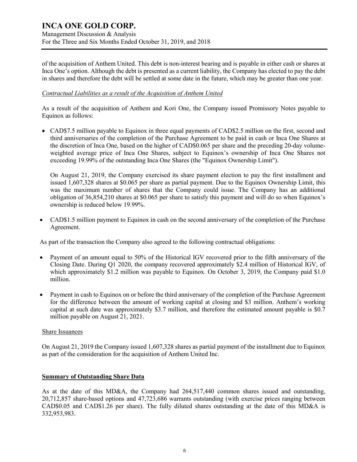of the acquisition of Anthem United. This debt is non-interest bearing and is payable in either cash or shares at Inca One's option. Although the debt is presented as a current liability, the Company has elected to pay the debt in shares and therefore the debt will be settled at some date in the future, which may be greater than one year.

## *Contractual Liabilities as a result of the Acquisition of Anthem United*

As a result of the acquisition of Anthem and Kori One, the Company issued Promissory Notes payable to Equinox as follows:

• CAD\$7.5 million payable to Equinox in three equal payments of CAD\$2.5 million on the first, second and third anniversaries of the completion of the Purchase Agreement to be paid in cash or Inca One Shares at the discretion of Inca One, based on the higher of CAD\$0.065 per share and the preceding 20-day volumeweighted average price of Inca One Shares, subject to Equinox's ownership of Inca One Shares not exceeding 19.99% of the outstanding Inca One Shares (the "Equinox Ownership Limit").

On August 21, 2019, the Company exercised its share payment election to pay the first installment and issued 1,607,328 shares at \$0.065 per share as partial payment. Due to the Equinox Ownership Limit, this was the maximum number of shares that the Company could issue. The Company has an additional obligation of 36,854,210 shares at \$0.065 per share to satisfy this payment and will do so when Equinox's ownership is reduced below 19.99%.

• CAD\$1.5 million payment to Equinox in cash on the second anniversary of the completion of the Purchase Agreement.

As part of the transaction the Company also agreed to the following contractual obligations:

- Payment of an amount equal to 50% of the Historical IGV recovered prior to the fifth anniversary of the Closing Date. During Q1 2020, the company recovered approximately \$2.4 million of Historical IGV, of which approximately \$1.2 million was payable to Equinox. On October 3, 2019, the Company paid \$1.0 million.
- Payment in cash to Equinox on or before the third anniversary of the completion of the Purchase Agreement for the difference between the amount of working capital at closing and \$3 million. Anthem's working capital at such date was approximately \$3.7 million, and therefore the estimated amount payable is \$0.7 million payable on August 21, 2021.

## Share Issuances

On August 21, 2019 the Company issued 1,607,328 shares as partial payment of the installment due to Equinox as part of the consideration for the acquisition of Anthem United Inc.

## **Summary of Outstanding Share Data**

As at the date of this MD&A, the Company had 264,517,440 common shares issued and outstanding, 20,712,857 share-based options and 47,723,686 warrants outstanding (with exercise prices ranging between CAD\$0.05 and CAD\$1.26 per share). The fully diluted shares outstanding at the date of this MD&A is 332,953,983.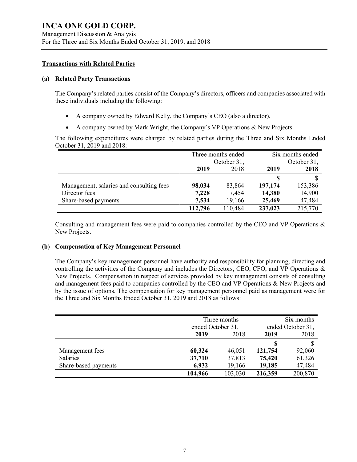## **Transactions with Related Parties**

#### **(a) Related Party Transactions**

The Company's related parties consist of the Company's directors, officers and companies associated with these individuals including the following:

- A company owned by Edward Kelly, the Company's CEO (also a director).
- A company owned by Mark Wright, the Company`s VP Operations & New Projects.

The following expenditures were charged by related parties during the Three and Six Months Ended October 31, 2019 and 2018:

|                                          | Three months ended |         | Six months ended |         |
|------------------------------------------|--------------------|---------|------------------|---------|
|                                          | October 31,        |         | October 31,      |         |
|                                          | 2019               | 2018    | 2019             | 2018    |
|                                          |                    |         |                  |         |
| Management, salaries and consulting fees | 98,034             | 83,864  | 197,174          | 153,386 |
| Director fees                            | 7,228              | 7,454   | 14,380           | 14,900  |
| Share-based payments                     | 7,534              | 19,166  | 25,469           | 47,484  |
|                                          | 112,796            | 110,484 | 237,023          | 215,770 |

Consulting and management fees were paid to companies controlled by the CEO and VP Operations & New Projects.

## **(b) Compensation of Key Management Personnel**

The Company's key management personnel have authority and responsibility for planning, directing and controlling the activities of the Company and includes the Directors, CEO, CFO, and VP Operations & New Projects. Compensation in respect of services provided by key management consists of consulting and management fees paid to companies controlled by the CEO and VP Operations & New Projects and by the issue of options. The compensation for key management personnel paid as management were for the Three and Six Months Ended October 31, 2019 and 2018 as follows:

|                      | Three months      |         | Six months        |         |  |
|----------------------|-------------------|---------|-------------------|---------|--|
|                      | ended October 31, |         | ended October 31, |         |  |
|                      | 2019              | 2018    | 2019              | 2018    |  |
|                      |                   |         | S                 |         |  |
| Management fees      | 60,324            | 46,051  | 121,754           | 92,060  |  |
| Salaries             | 37,710            | 37,813  | 75,420            | 61,326  |  |
| Share-based payments | 6,932             | 19,166  | 19,185            | 47,484  |  |
|                      | 104,966           | 103,030 | 216,359           | 200,870 |  |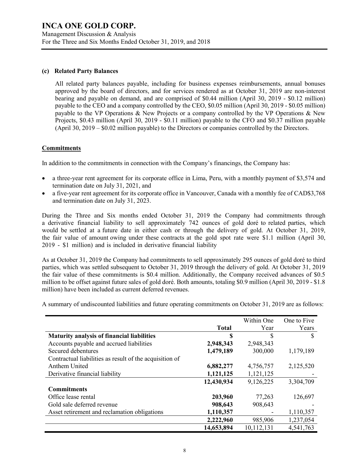# **(c) Related Party Balances**

All related party balances payable, including for business expenses reimbursements, annual bonuses approved by the board of directors, and for services rendered as at October 31, 2019 are non-interest bearing and payable on demand, and are comprised of \$0.44 million (April 30, 2019 - \$0.12 million) payable to the CEO and a company controlled by the CEO, \$0.05 million (April 30, 2019 - \$0.05 million) payable to the VP Operations & New Projects or a company controlled by the VP Operations & New Projects, \$0.43 million (April 30, 2019 - \$0.11 million) payable to the CFO and \$0.37 million payable (April 30, 2019 – \$0.02 million payable) to the Directors or companies controlled by the Directors.

# **Commitments**

In addition to the commitments in connection with the Company's financings, the Company has:

- a three-year rent agreement for its corporate office in Lima, Peru, with a monthly payment of \$3,574 and termination date on July 31, 2021, and
- a five-year rent agreement for its corporate office in Vancouver, Canada with a monthly fee of CAD\$3,768 and termination date on July 31, 2023.

During the Three and Six months ended October 31, 2019 the Company had commitments through a derivative financial liability to sell approximately 742 ounces of gold doré to related parties, which would be settled at a future date in either cash or through the delivery of gold. At October 31, 2019, the fair value of amount owing under these contracts at the gold spot rate were \$1.1 million (April 30, 2019 - \$1 million) and is included in derivative financial liability

As at October 31, 2019 the Company had commitments to sell approximately 295 ounces of gold doré to third parties, which was settled subsequent to October 31, 2019 through the delivery of gold. At October 31, 2019 the fair value of these commitments is \$0.4 million. Additionally, the Company received advances of \$0.5 million to be offset against future sales of gold doré. Both amounts, totaling \$0.9 million (April 30, 2019 - \$1.8 million) have been included as current deferred revenues.

A summary of undiscounted liabilities and future operating commitments on October 31, 2019 are as follows:

|                                                         |              | Within One | One to Five |
|---------------------------------------------------------|--------------|------------|-------------|
|                                                         | <b>Total</b> | Year       | Years       |
| <b>Maturity analysis of financial liabilities</b>       | \$           | S          | S           |
| Accounts payable and accrued liabilities                | 2,948,343    | 2,948,343  |             |
| Secured debentures                                      | 1,479,189    | 300,000    | 1,179,189   |
| Contractual liabilities as result of the acquisition of |              |            |             |
| Anthem United                                           | 6,882,277    | 4,756,757  | 2,125,520   |
| Derivative financial liability                          | 1,121,125    | 1,121,125  |             |
|                                                         | 12,430,934   | 9,126,225  | 3,304,709   |
| <b>Commitments</b>                                      |              |            |             |
| Office lease rental                                     | 203,960      | 77,263     | 126,697     |
| Gold sale deferred revenue                              | 908,643      | 908,643    |             |
| Asset retirement and reclamation obligations            | 1,110,357    |            | 1,110,357   |
|                                                         | 2,222,960    | 985,906    | 1,237,054   |
|                                                         | 14,653,894   | 10,112,131 | 4,541,763   |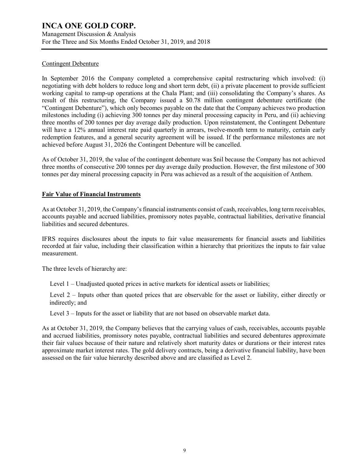Management Discussion & Analysis For the Three and Six Months Ended October 31, 2019, and 2018

# Contingent Debenture

In September 2016 the Company completed a comprehensive capital restructuring which involved: (i) negotiating with debt holders to reduce long and short term debt, (ii) a private placement to provide sufficient working capital to ramp-up operations at the Chala Plant; and (iii) consolidating the Company's shares. As result of this restructuring, the Company issued a \$0.78 million contingent debenture certificate (the "Contingent Debenture"), which only becomes payable on the date that the Company achieves two production milestones including (i) achieving 300 tonnes per day mineral processing capacity in Peru, and (ii) achieving three months of 200 tonnes per day average daily production. Upon reinstatement, the Contingent Debenture will have a 12% annual interest rate paid quarterly in arrears, twelve-month term to maturity, certain early redemption features, and a general security agreement will be issued. If the performance milestones are not achieved before August 31, 2026 the Contingent Debenture will be cancelled.

As of October 31, 2019, the value of the contingent debenture was \$nil because the Company has not achieved three months of consecutive 200 tonnes per day average daily production. However, the first milestone of 300 tonnes per day mineral processing capacity in Peru was achieved as a result of the acquisition of Anthem.

# **Fair Value of Financial Instruments**

As at October 31, 2019, the Company's financial instruments consist of cash, receivables, long term receivables, accounts payable and accrued liabilities, promissory notes payable, contractual liabilities, derivative financial liabilities and secured debentures.

IFRS requires disclosures about the inputs to fair value measurements for financial assets and liabilities recorded at fair value, including their classification within a hierarchy that prioritizes the inputs to fair value measurement.

The three levels of hierarchy are:

Level 1 – Unadjusted quoted prices in active markets for identical assets or liabilities;

Level 2 – Inputs other than quoted prices that are observable for the asset or liability, either directly or indirectly; and

Level 3 – Inputs for the asset or liability that are not based on observable market data.

As at October 31, 2019, the Company believes that the carrying values of cash, receivables, accounts payable and accrued liabilities, promissory notes payable, contractual liabilities and secured debentures approximate their fair values because of their nature and relatively short maturity dates or durations or their interest rates approximate market interest rates. The gold delivery contracts, being a derivative financial liability, have been assessed on the fair value hierarchy described above and are classified as Level 2.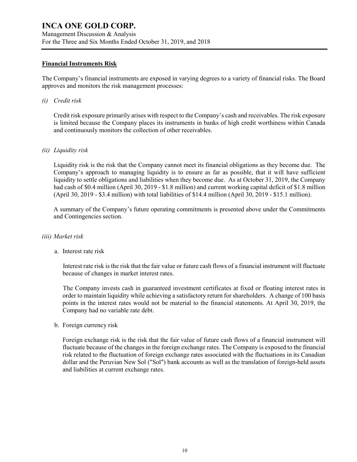## **Financial Instruments Risk**

The Company's financial instruments are exposed in varying degrees to a variety of financial risks. The Board approves and monitors the risk management processes:

*(i) Credit risk*

Credit risk exposure primarily arises with respect to the Company's cash and receivables. The risk exposure is limited because the Company places its instruments in banks of high credit worthiness within Canada and continuously monitors the collection of other receivables.

## *(ii) Liquidity risk*

Liquidity risk is the risk that the Company cannot meet its financial obligations as they become due. The Company's approach to managing liquidity is to ensure as far as possible, that it will have sufficient liquidity to settle obligations and liabilities when they become due. As at October 31, 2019, the Company had cash of \$0.4 million (April 30, 2019 - \$1.8 million) and current working capital deficit of \$1.8 million (April 30, 2019 - \$3.4 million) with total liabilities of \$14.4 million (April 30, 2019 - \$15.1 million).

A summary of the Company's future operating commitments is presented above under the Commitments and Contingencies section.

## *(iii) Market risk*

a. Interest rate risk

Interest rate risk is the risk that the fair value or future cash flows of a financial instrument will fluctuate because of changes in market interest rates.

The Company invests cash in guaranteed investment certificates at fixed or floating interest rates in order to maintain liquidity while achieving a satisfactory return for shareholders. A change of 100 basis points in the interest rates would not be material to the financial statements. At April 30, 2019, the Company had no variable rate debt.

b. Foreign currency risk

Foreign exchange risk is the risk that the fair value of future cash flows of a financial instrument will fluctuate because of the changes in the foreign exchange rates. The Company is exposed to the financial risk related to the fluctuation of foreign exchange rates associated with the fluctuations in its Canadian dollar and the Peruvian New Sol ("Sol") bank accounts as well as the translation of foreign-held assets and liabilities at current exchange rates.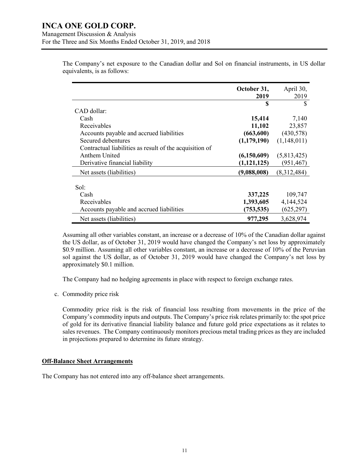|                                                         | October 31,<br>2019 | April 30,<br>2019 |
|---------------------------------------------------------|---------------------|-------------------|
|                                                         | S                   | \$                |
| CAD dollar:                                             |                     |                   |
| Cash                                                    | 15,414              | 7,140             |
| Receivables                                             | 11,102              | 23,857            |
| Accounts payable and accrued liabilities                | (663,600)           | (430,578)         |
| Secured debentures                                      | (1,179,190)         | (1,148,011)       |
| Contractual liabilities as result of the acquisition of |                     |                   |
| Anthem United                                           | (6,150,609)         | (5,813,425)       |
| Derivative financial liability                          | (1, 121, 125)       | (951, 467)        |
| Net assets (liabilities)                                | (9,088,008)         | (8,312,484)       |
| Sol:                                                    |                     |                   |
| Cash                                                    | 337,225             | 109,747           |
| Receivables                                             | 1,393,605           | 4,144,524         |
| Accounts payable and accrued liabilities                | (753, 535)          | (625, 297)        |
| Net assets (liabilities)                                | 977,295             | 3,628,974         |

The Company's net exposure to the Canadian dollar and Sol on financial instruments, in US dollar equivalents, is as follows:

Assuming all other variables constant, an increase or a decrease of 10% of the Canadian dollar against the US dollar, as of October 31, 2019 would have changed the Company's net loss by approximately \$0.9 million. Assuming all other variables constant, an increase or a decrease of 10% of the Peruvian sol against the US dollar, as of October 31, 2019 would have changed the Company's net loss by approximately \$0.1 million.

The Company had no hedging agreements in place with respect to foreign exchange rates.

c. Commodity price risk

Commodity price risk is the risk of financial loss resulting from movements in the price of the Company's commodity inputs and outputs. The Company's price risk relates primarily to: the spot price of gold for its derivative financial liability balance and future gold price expectations as it relates to sales revenues. The Company continuously monitors precious metal trading prices as they are included in projections prepared to determine its future strategy.

## **Off-Balance Sheet Arrangements**

The Company has not entered into any off-balance sheet arrangements.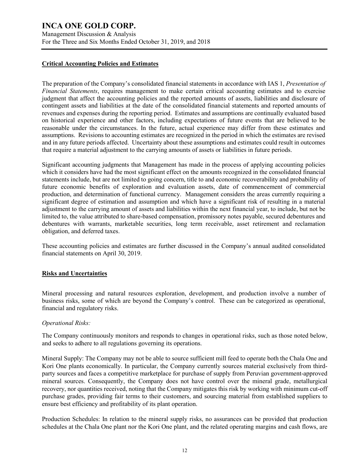Management Discussion & Analysis For the Three and Six Months Ended October 31, 2019, and 2018

## **Critical Accounting Policies and Estimates**

The preparation of the Company's consolidated financial statements in accordance with IAS 1, *Presentation of Financial Statements*, requires management to make certain critical accounting estimates and to exercise judgment that affect the accounting policies and the reported amounts of assets, liabilities and disclosure of contingent assets and liabilities at the date of the consolidated financial statements and reported amounts of revenues and expenses during the reporting period. Estimates and assumptions are continually evaluated based on historical experience and other factors, including expectations of future events that are believed to be reasonable under the circumstances. In the future, actual experience may differ from these estimates and assumptions. Revisions to accounting estimates are recognized in the period in which the estimates are revised and in any future periods affected. Uncertainty about these assumptions and estimates could result in outcomes that require a material adjustment to the carrying amounts of assets or liabilities in future periods.

Significant accounting judgments that Management has made in the process of applying accounting policies which it considers have had the most significant effect on the amounts recognized in the consolidated financial statements include, but are not limited to going concern, title to and economic recoverability and probability of future economic benefits of exploration and evaluation assets, date of commencement of commercial production, and determination of functional currency. Management considers the areas currently requiring a significant degree of estimation and assumption and which have a significant risk of resulting in a material adjustment to the carrying amount of assets and liabilities within the next financial year, to include, but not be limited to, the value attributed to share-based compensation, promissory notes payable, secured debentures and debentures with warrants, marketable securities, long term receivable, asset retirement and reclamation obligation, and deferred taxes.

These accounting policies and estimates are further discussed in the Company's annual audited consolidated financial statements on April 30, 2019.

## **Risks and Uncertainties**

Mineral processing and natural resources exploration, development, and production involve a number of business risks, some of which are beyond the Company's control. These can be categorized as operational, financial and regulatory risks.

## *Operational Risks:*

The Company continuously monitors and responds to changes in operational risks, such as those noted below, and seeks to adhere to all regulations governing its operations.

Mineral Supply: The Company may not be able to source sufficient mill feed to operate both the Chala One and Kori One plants economically. In particular, the Company currently sources material exclusively from thirdparty sources and faces a competitive marketplace for purchase of supply from Peruvian government-approved mineral sources. Consequently, the Company does not have control over the mineral grade, metallurgical recovery, nor quantities received, noting that the Company mitigates this risk by working with minimum cut-off purchase grades, providing fair terms to their customers, and sourcing material from established suppliers to ensure best efficiency and profitability of its plant operation.

Production Schedules: In relation to the mineral supply risks, no assurances can be provided that production schedules at the Chala One plant nor the Kori One plant, and the related operating margins and cash flows, are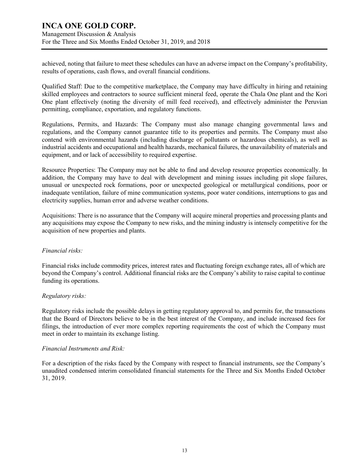Management Discussion & Analysis For the Three and Six Months Ended October 31, 2019, and 2018

achieved, noting that failure to meet these schedules can have an adverse impact on the Company's profitability, results of operations, cash flows, and overall financial conditions.

Qualified Staff: Due to the competitive marketplace, the Company may have difficulty in hiring and retaining skilled employees and contractors to source sufficient mineral feed, operate the Chala One plant and the Kori One plant effectively (noting the diversity of mill feed received), and effectively administer the Peruvian permitting, compliance, exportation, and regulatory functions.

Regulations, Permits, and Hazards: The Company must also manage changing governmental laws and regulations, and the Company cannot guarantee title to its properties and permits. The Company must also contend with environmental hazards (including discharge of pollutants or hazardous chemicals), as well as industrial accidents and occupational and health hazards, mechanical failures, the unavailability of materials and equipment, and or lack of accessibility to required expertise.

Resource Properties: The Company may not be able to find and develop resource properties economically. In addition, the Company may have to deal with development and mining issues including pit slope failures, unusual or unexpected rock formations, poor or unexpected geological or metallurgical conditions, poor or inadequate ventilation, failure of mine communication systems, poor water conditions, interruptions to gas and electricity supplies, human error and adverse weather conditions.

Acquisitions: There is no assurance that the Company will acquire mineral properties and processing plants and any acquisitions may expose the Company to new risks, and the mining industry is intensely competitive for the acquisition of new properties and plants.

# *Financial risks:*

Financial risks include commodity prices, interest rates and fluctuating foreign exchange rates, all of which are beyond the Company's control. Additional financial risks are the Company's ability to raise capital to continue funding its operations.

# *Regulatory risks:*

Regulatory risks include the possible delays in getting regulatory approval to, and permits for, the transactions that the Board of Directors believe to be in the best interest of the Company, and include increased fees for filings, the introduction of ever more complex reporting requirements the cost of which the Company must meet in order to maintain its exchange listing.

## *Financial Instruments and Risk:*

For a description of the risks faced by the Company with respect to financial instruments, see the Company's unaudited condensed interim consolidated financial statements for the Three and Six Months Ended October 31, 2019.